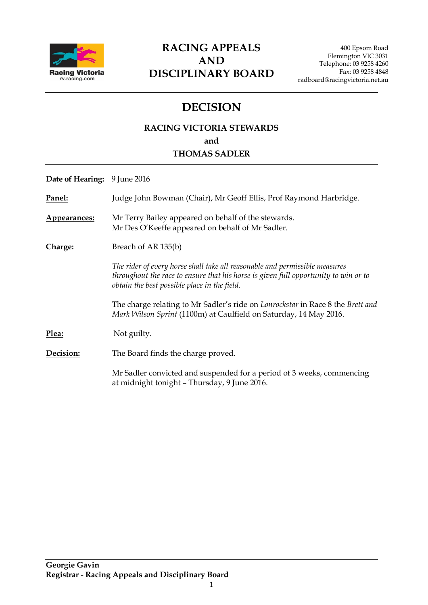

## **RACING APPEALS AND DISCIPLINARY BOARD**

## **DECISION**

### **RACING VICTORIA STEWARDS and THOMAS SADLER**

| Date of Hearing: | 9 June 2016                                                                                                                                                                                                        |
|------------------|--------------------------------------------------------------------------------------------------------------------------------------------------------------------------------------------------------------------|
| Panel:           | Judge John Bowman (Chair), Mr Geoff Ellis, Prof Raymond Harbridge.                                                                                                                                                 |
| Appearances:     | Mr Terry Bailey appeared on behalf of the stewards.<br>Mr Des O'Keeffe appeared on behalf of Mr Sadler.                                                                                                            |
| <u>Charge:</u>   | Breach of AR 135(b)                                                                                                                                                                                                |
|                  | The rider of every horse shall take all reasonable and permissible measures<br>throughout the race to ensure that his horse is given full opportunity to win or to<br>obtain the best possible place in the field. |
|                  | The charge relating to Mr Sadler's ride on <i>Lonrockstar</i> in Race 8 the <i>Brett and</i><br>Mark Wilson Sprint (1100m) at Caulfield on Saturday, 14 May 2016.                                                  |
| Plea:            | Not guilty.                                                                                                                                                                                                        |
| Decision:        | The Board finds the charge proved.                                                                                                                                                                                 |
|                  | Mr Sadler convicted and suspended for a period of 3 weeks, commencing<br>at midnight tonight - Thursday, 9 June 2016.                                                                                              |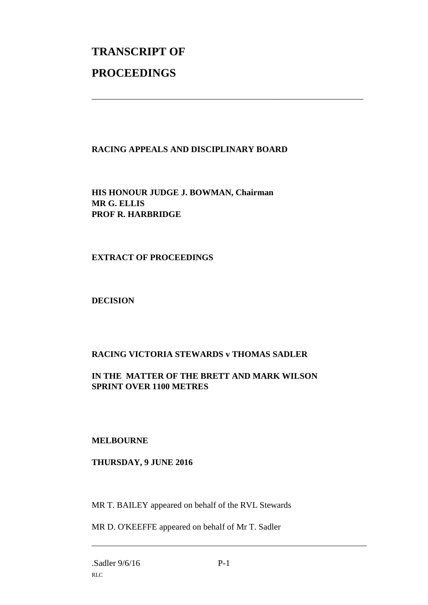# **TRANSCRIPT OF PROCEEDINGS**

#### **RACING APPEALS AND DISCIPLINARY BOARD**

\_\_\_\_\_\_\_\_\_\_\_\_\_\_\_\_\_\_\_\_\_\_\_\_\_\_\_\_\_\_\_\_\_\_\_\_\_\_\_\_\_\_\_\_\_\_\_\_\_\_\_\_\_\_\_\_\_\_\_\_\_\_\_

**HIS HONOUR JUDGE J. BOWMAN, Chairman MR G. ELLIS PROF R. HARBRIDGE**

#### **EXTRACT OF PROCEEDINGS**

**DECISION**

#### **RACING VICTORIA STEWARDS v THOMAS SADLER**

**IN THE MATTER OF THE BRETT AND MARK WILSON SPRINT OVER 1100 METRES**

#### **MELBOURNE**

#### **THURSDAY, 9 JUNE 2016**

MR T. BAILEY appeared on behalf of the RVL Stewards

MR D. O'KEEFFE appeared on behalf of Mr T. Sadler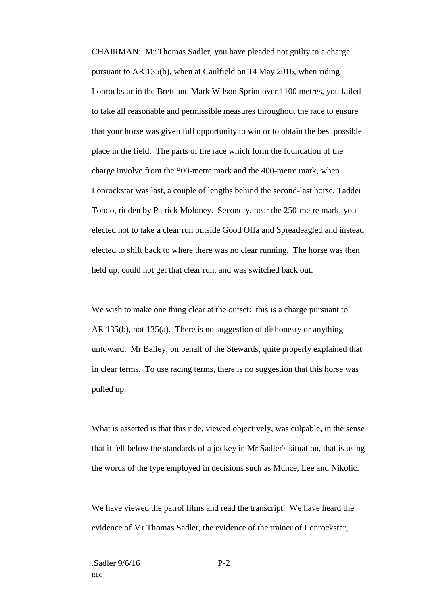CHAIRMAN: Mr Thomas Sadler, you have pleaded not guilty to a charge pursuant to AR 135(b), when at Caulfield on 14 May 2016, when riding Lonrockstar in the Brett and Mark Wilson Sprint over 1100 metres, you failed to take all reasonable and permissible measures throughout the race to ensure that your horse was given full opportunity to win or to obtain the best possible place in the field. The parts of the race which form the foundation of the charge involve from the 800-metre mark and the 400-metre mark, when Lonrockstar was last, a couple of lengths behind the second-last horse, Taddei Tondo, ridden by Patrick Moloney. Secondly, near the 250-metre mark, you elected not to take a clear run outside Good Offa and Spreadeagled and instead elected to shift back to where there was no clear running. The horse was then held up, could not get that clear run, and was switched back out.

We wish to make one thing clear at the outset: this is a charge pursuant to AR 135(b), not 135(a). There is no suggestion of dishonesty or anything untoward. Mr Bailey, on behalf of the Stewards, quite properly explained that in clear terms. To use racing terms, there is no suggestion that this horse was pulled up.

What is asserted is that this ride, viewed objectively, was culpable, in the sense that it fell below the standards of a jockey in Mr Sadler's situation, that is using the words of the type employed in decisions such as Munce, Lee and Nikolic.

We have viewed the patrol films and read the transcript. We have heard the evidence of Mr Thomas Sadler, the evidence of the trainer of Lonrockstar,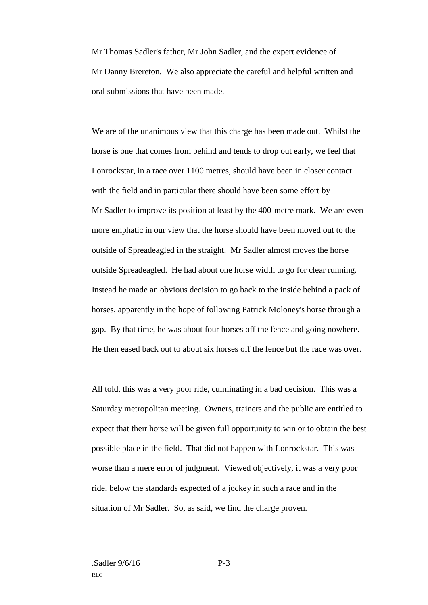Mr Thomas Sadler's father, Mr John Sadler, and the expert evidence of Mr Danny Brereton. We also appreciate the careful and helpful written and oral submissions that have been made.

We are of the unanimous view that this charge has been made out. Whilst the horse is one that comes from behind and tends to drop out early, we feel that Lonrockstar, in a race over 1100 metres, should have been in closer contact with the field and in particular there should have been some effort by Mr Sadler to improve its position at least by the 400-metre mark. We are even more emphatic in our view that the horse should have been moved out to the outside of Spreadeagled in the straight. Mr Sadler almost moves the horse outside Spreadeagled. He had about one horse width to go for clear running. Instead he made an obvious decision to go back to the inside behind a pack of horses, apparently in the hope of following Patrick Moloney's horse through a gap. By that time, he was about four horses off the fence and going nowhere. He then eased back out to about six horses off the fence but the race was over.

All told, this was a very poor ride, culminating in a bad decision. This was a Saturday metropolitan meeting. Owners, trainers and the public are entitled to expect that their horse will be given full opportunity to win or to obtain the best possible place in the field. That did not happen with Lonrockstar. This was worse than a mere error of judgment. Viewed objectively, it was a very poor ride, below the standards expected of a jockey in such a race and in the situation of Mr Sadler. So, as said, we find the charge proven.